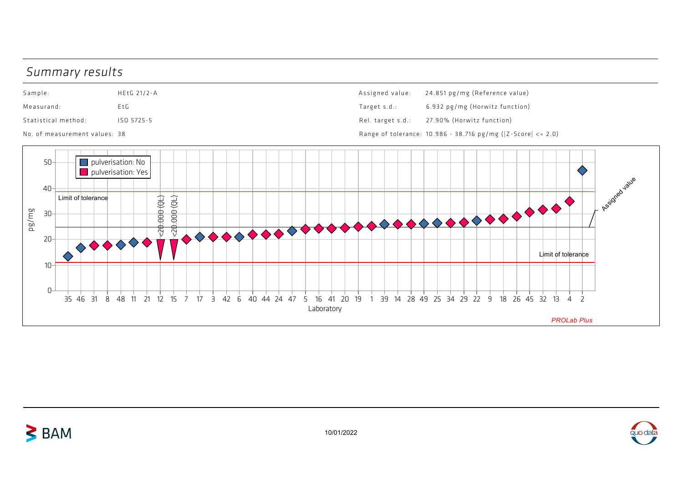## Summary results

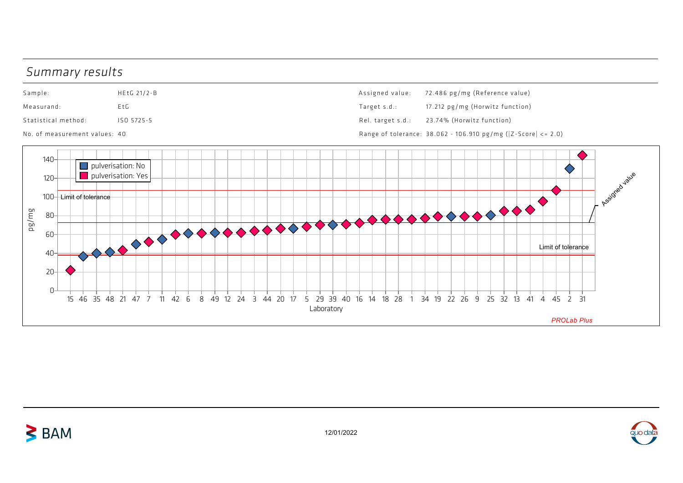## Summary results

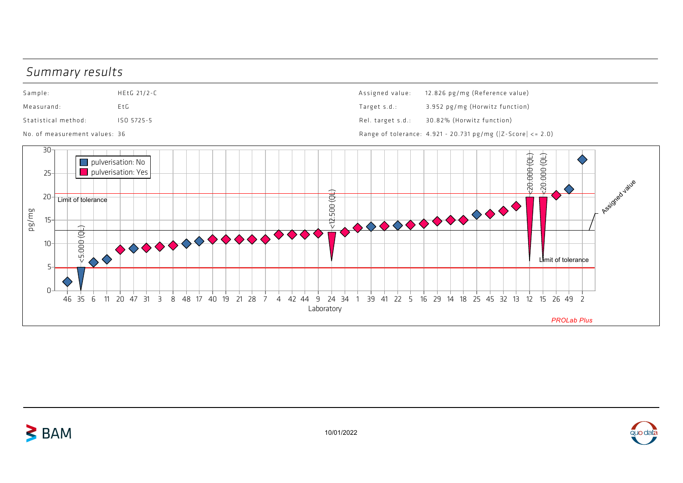## Summary results





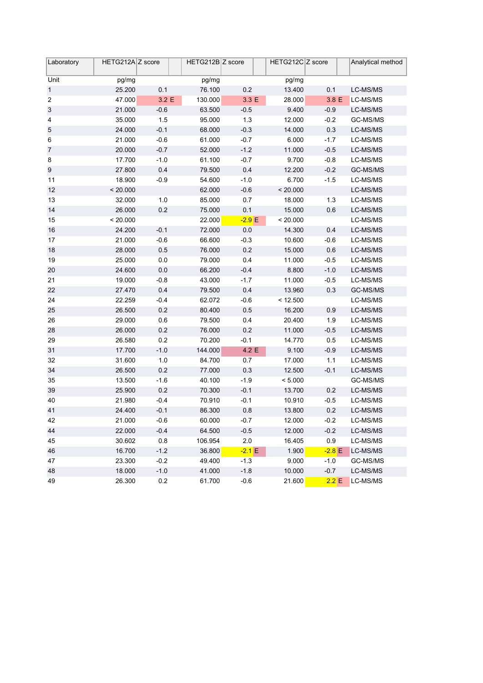| Laboratory              | HETG212A Z score |         | HETG212B Z score |          | HETG212C Z score |          | Analytical method |
|-------------------------|------------------|---------|------------------|----------|------------------|----------|-------------------|
| Unit                    | pg/mg            |         | pg/mg            |          | pg/mg            |          |                   |
| $\mathbf{1}$            | 25.200           | 0.1     | 76.100           | 0.2      | 13.400           | 0.1      | LC-MS/MS          |
| $\overline{\mathbf{c}}$ | 47.000           | 3.2 E   | 130.000          | 3.3 E    | 28.000           | 3.8 E    | LC-MS/MS          |
| $\sqrt{3}$              | 21.000           | $-0.6$  | 63.500           | $-0.5$   | 9.400            | $-0.9$   | LC-MS/MS          |
| 4                       | 35.000           | 1.5     | 95.000           | 1.3      | 12.000           | $-0.2$   | GC-MS/MS          |
| $\sqrt{5}$              | 24.000           | $-0.1$  | 68.000           | $-0.3$   | 14.000           | 0.3      | LC-MS/MS          |
| 6                       | 21.000           | $-0.6$  | 61.000           | $-0.7$   | 6.000            | $-1.7$   | LC-MS/MS          |
| $\overline{7}$          | 20.000           | $-0.7$  | 52.000           | $-1.2$   | 11.000           | $-0.5$   | LC-MS/MS          |
| 8                       | 17.700           | $-1.0$  | 61.100           | $-0.7$   | 9.700            | $-0.8$   | LC-MS/MS          |
| 9                       | 27.800           | 0.4     | 79.500           | 0.4      | 12.200           | $-0.2$   | GC-MS/MS          |
| 11                      | 18.900           | $-0.9$  | 54.600           | $-1.0$   | 6.700            | $-1.5$   | LC-MS/MS          |
| 12                      | < 20.000         |         | 62.000           | $-0.6$   | < 20.000         |          | LC-MS/MS          |
| 13                      | 32.000           | 1.0     | 85.000           | 0.7      | 18.000           | 1.3      | LC-MS/MS          |
| 14                      | 26.000           | 0.2     | 75.000           | 0.1      | 15.000           | 0.6      | LC-MS/MS          |
| 15                      | < 20.000         |         | 22.000           | $-2.9 E$ | < 20.000         |          | LC-MS/MS          |
| 16                      | 24.200           | $-0.1$  | 72.000           | $0.0\,$  | 14.300           | 0.4      | LC-MS/MS          |
| 17                      | 21.000           | $-0.6$  | 66.600           | $-0.3$   | 10.600           | $-0.6$   | LC-MS/MS          |
| 18                      | 28.000           | $0.5\,$ | 76.000           | 0.2      | 15.000           | 0.6      | LC-MS/MS          |
| 19                      | 25.000           | $0.0\,$ | 79.000           | 0.4      | 11.000           | $-0.5$   | LC-MS/MS          |
| 20                      | 24.600           | $0.0\,$ | 66.200           | $-0.4$   | 8.800            | $-1.0$   | LC-MS/MS          |
| 21                      | 19.000           | $-0.8$  | 43.000           | $-1.7$   | 11.000           | $-0.5$   | LC-MS/MS          |
| 22                      | 27.470           | 0.4     | 79.500           | 0.4      | 13.960           | 0.3      | GC-MS/MS          |
| 24                      | 22.259           | $-0.4$  | 62.072           | $-0.6$   | < 12.500         |          | LC-MS/MS          |
| 25                      | 26.500           | 0.2     | 80.400           | 0.5      | 16.200           | 0.9      | LC-MS/MS          |
| 26                      | 29.000           | 0.6     | 79.500           | 0.4      | 20.400           | 1.9      | LC-MS/MS          |
| 28                      | 26.000           | 0.2     | 76.000           | 0.2      | 11.000           | $-0.5$   | LC-MS/MS          |
| 29                      | 26.580           | 0.2     | 70.200           | $-0.1$   | 14.770           | 0.5      | LC-MS/MS          |
| 31                      | 17.700           | $-1.0$  | 144.000          | 4.2 E    | 9.100            | $-0.9$   | LC-MS/MS          |
| 32                      | 31.600           | $1.0$   | 84.700           | 0.7      | 17.000           | 1.1      | LC-MS/MS          |
| 34                      | 26.500           | 0.2     | 77.000           | 0.3      | 12.500           | $-0.1$   | LC-MS/MS          |
| 35                      | 13.500           | $-1.6$  | 40.100           | $-1.9$   | < 5.000          |          | GC-MS/MS          |
| 39                      | 25.900           | 0.2     | 70.300           | $-0.1$   | 13.700           | 0.2      | LC-MS/MS          |
| 40                      | 21.980           | $-0.4$  | 70.910           | $-0.1$   | 10.910           | $-0.5$   | LC-MS/MS          |
| 41                      | 24.400           | $-0.1$  | 86.300           | 0.8      | 13.800           | 0.2      | LC-MS/MS          |
| 42                      | 21.000           | $-0.6$  | 60.000           | $-0.7$   | 12.000           | $-0.2$   | LC-MS/MS          |
| 44                      | 22.000           | $-0.4$  | 64.500           | $-0.5$   | 12.000           | $-0.2$   | LC-MS/MS          |
| 45                      | 30.602           | $0.8\,$ | 106.954          | 2.0      | 16.405           | 0.9      | LC-MS/MS          |
| 46                      | 16.700           | $-1.2$  | 36.800           | $-2.1 E$ | 1.900            | $-2.8$ E | LC-MS/MS          |
| 47                      | 23.300           | $-0.2$  | 49.400           | $-1.3$   | 9.000            | $-1.0$   | GC-MS/MS          |
| 48                      | 18.000           | $-1.0$  | 41.000           | $-1.8$   | 10.000           | $-0.7$   | LC-MS/MS          |
| 49                      | 26.300           | $0.2\,$ | 61.700           | $-0.6$   | 21.600           | 2.2 E    | LC-MS/MS          |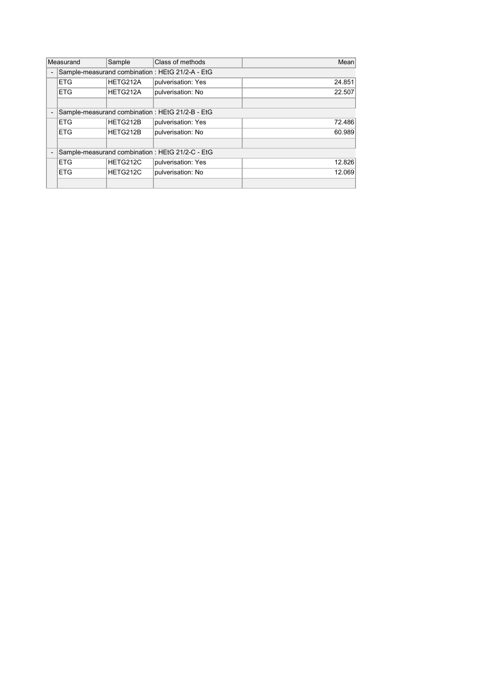| Measurand |                                                 | Sample   | Class of methods   | Mean   |  |  |  |  |
|-----------|-------------------------------------------------|----------|--------------------|--------|--|--|--|--|
|           | Sample-measurand combination: HEtG 21/2-A - EtG |          |                    |        |  |  |  |  |
|           | <b>ETG</b>                                      | HETG212A | pulverisation: Yes | 24.851 |  |  |  |  |
|           | ETG                                             | HETG212A | pulverisation: No  | 22.507 |  |  |  |  |
|           |                                                 |          |                    |        |  |  |  |  |
|           | Sample-measurand combination: HEtG 21/2-B - EtG |          |                    |        |  |  |  |  |
|           | <b>ETG</b>                                      | HETG212B | pulverisation: Yes | 72.486 |  |  |  |  |
|           | <b>ETG</b>                                      | HETG212B | pulverisation: No  | 60.989 |  |  |  |  |
|           |                                                 |          |                    |        |  |  |  |  |
|           | Sample-measurand combination: HEtG 21/2-C - EtG |          |                    |        |  |  |  |  |
|           | <b>ETG</b>                                      | HETG212C | pulverisation: Yes | 12.826 |  |  |  |  |
|           | <b>ETG</b>                                      | HETG212C | pulverisation: No  | 12.069 |  |  |  |  |
|           |                                                 |          |                    |        |  |  |  |  |